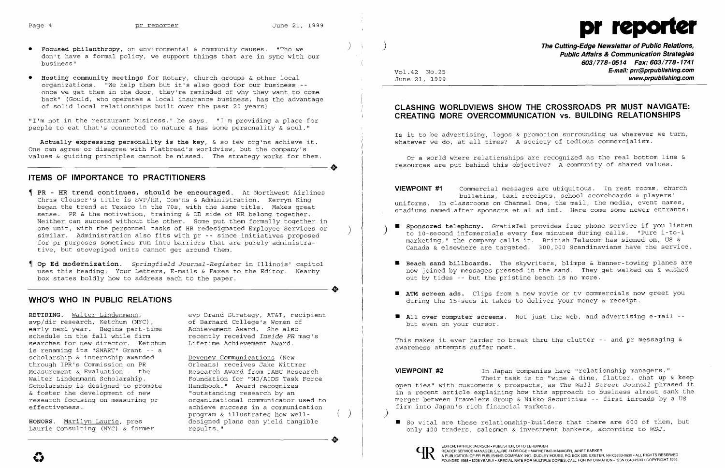**••**



"I'm not in the restaurant business," he says. "I'm providing a place for people to eat that's connected to nature  $\&$  has some personality  $\&$  soul."

Actually expressing personality is the key,  $\&$  so few org'ns achieve it. One can agree or disagree with Flatbread's worldview, but the company's values & guiding principles cannot be missed. The strategy works for them. One can agree or disagree with Flatbread's worldview, but the company's<br>values & guiding principles cannot be missed. The strategy works for them.

- ) • Focused philanthropy, on environmental & community causes. "Tho we don't have a formal policy, we support things that are in sync with our business"
- • Hosting community meetings for Rotary, church groups & other local organizations. "We help them but it's also good for our business once we get them in the door, they're reminded of why they want to come back" (Gould, who operates a local insurance business, has the advantage of solid local relationships built over the past 20 years)

) **The Cutting-Edge Newsletter of Public Relations, Public Affairs & Communication Strategies 603/778-0514 Fax: 603/778-1741**  Vol.42 NO.25 **E-mail: prr@prpublishing.com**  www.prpublishing.com

## **ITEMS OF IMPORTANCE TO PRACTITIONERS**

Is it to be advertising, logos  $\&$  promotion surrounding us wherever we turn, whatever we do, at all times? A society of tedious commercialism.

**VIEVVPOINT #1** Commercial messages are ubiquitous. In rest rooms, church bulletins, taxi receipts, school scoreboards & players' uniforms. In classrooms on Channel One, the mail, the media, event names, stadiums named after sponsors et al ad inf. Here come some newer entrants:

- PR HR trend continues, should be encouraged. At Northwest Airlines Chris Clouser's title is SVP/HR, Com'ns & Administration. Kerryn King began the trend at Texaco in the 70s, with the same title. Makes great sense. PR & the motivation, training & OD side of HR belong together. Neither can succeed without the other. Some put them formally together in one unit, with the personnel tasks of HR redesignated Employee Services or ( )<br>similar. Administration also fits with pr -- since initiatives proposed for pr purposes sometimes run into barriers that are purely administra tive, but stovepiped units cannot get around them.
- Op Ed modernization. *Springfield Journal-Register* in Illinois' capitol uses this heading: Your Letters, E-mails & Faxes to the Editor. Nearby box states boldly how to address each to the paper.

■ Sponsored telephony. GratisTel provides free phone service if you listen<br>to 10-second infomercials every few minutes during calls. "Pure 1-to-1 marketing," the company calls it. British Telecom has signed on, US & Canada & elsewhere are targeted. 300,000 Scandinavians have the service.

■ Beach sand billboards. The skywriters, blimps & banner-towing planes are now joined by messages pressed in the sand. They get walked on & washed

## **WHO'S WHO IN PUBLIC RELATIONS**

## **CLASHING WORLDVIEWS SHOW THE CROSSROADS PR MUST NAVIGATE: CREATING MORE OVERCOMMUNICATION VS. BUILDING RELATIONSHIPS**

Or a world where relationships are recognized as the real bottom line & resources are put behind this objective? A community of shared values.

**VIEWPOINT #2** In Japan companies have "relationship managers." open ties" with customers & prospects, as *The Wall Street Journal* phrased it in a recent article explaining how this approach to business almost sank the merger between Travelers Group & Nikko Securities -- first inroads by a US firm into Japan's rich financial markets.

Laurie Consulting (NYC) & former results." <br>
and the consulting (NYC) & former results."



 $\left( \right)$ 

EDITOR, PATRICK JACKSON • PUBLISHER, OTTO LERBINGER<br>
READER SERVICE MANAGER, LAURIE ELDRIDGE • MARKETIN<br>
FOUNDED 1958 • \$225 YEARLY • SPECIAL RATE FOR MULTIPL READER SERVICE MANAGER, LAURIE ELDRIDGE· MARKETING MANAGER, JANET BARKER

RETIRING. Walter Lindenmann, svp/dir research, Ketchum (NYC), early next year. Begins part-time schedule in the fall while firm searches for new director. Ketchum is renaming its "SMART" Grant -- <sup>a</sup> scholarship & internship awarded through IPR's Commission on PR Measurement & Evaluation -- the Walter Lindenmann Scholarship. Scholarship is designed to promote & foster the development of new research focusing on measuring pr effectiveness.

- 
- out by tides -- but the pristine beach is no more.
- I ATM screen ads. Clips from a new movie or tv commercials now greet you during the 15-secs it takes to deliver your money & receipt.
- **All over computer screens.** Not just the Web, and advertising e-mail -but even on your cursor.

HONORS. Marilyn Laurie, pres

evp Brand Strategy, AT&T, recipient of Barnard College's Women of Achievement Award. She also recently received *Inside PR* mag's Lifetime Achievement Award.

**di** 

**•** Deveney Communications (New Orleans) receives Jake Wittmer Research Award from IABC Research Foundation for "NO/AIDS Task Force Handbook." Award recognizes "outstanding research by an organizational communicator used to achieve success in a communication program & illustrates how welldesigned plans can yield tangible<br>results."

This makes it ever harder to break thru the clutter -- and pr messaging & awareness attempts suffer most.

Their task is to "wine & dine, flatter, chat up & keep

• So vital are these relationship-builders that there are 600 of them, but